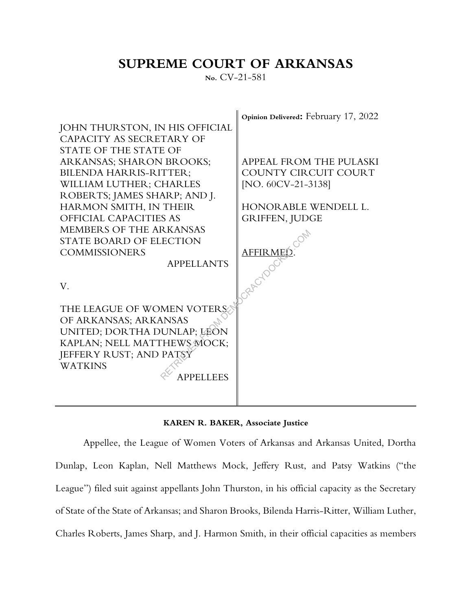## **SUPREME COURT OF ARKANSAS**

**No.** CV-21-581





Appellee, the League of Women Voters of Arkansas and Arkansas United, Dortha Dunlap, Leon Kaplan, Nell Matthews Mock, Jeffery Rust, and Patsy Watkins ("the League") filed suit against appellants John Thurston, in his official capacity as the Secretary of State of the State of Arkansas; and Sharon Brooks, Bilenda Harris-Ritter, William Luther, Charles Roberts, James Sharp, and J. Harmon Smith, in their official capacities as members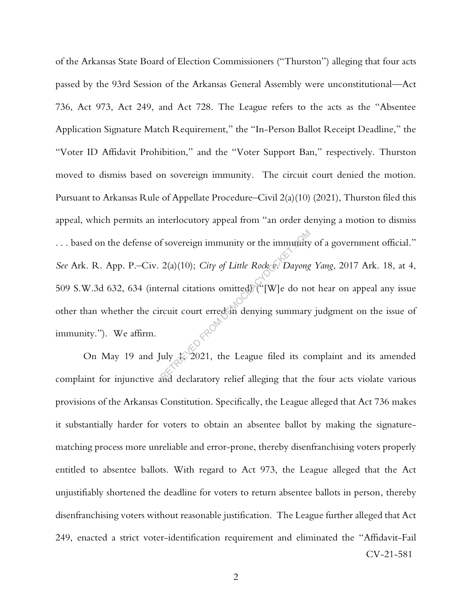of the Arkansas State Board of Election Commissioners ("Thurston") alleging that four acts passed by the 93rd Session of the Arkansas General Assembly were unconstitutional––Act 736, Act 973, Act 249, and Act 728. The League refers to the acts as the "Absentee Application Signature Match Requirement," the "In-Person Ballot Receipt Deadline," the "Voter ID Affidavit Prohibition," and the "Voter Support Ban," respectively. Thurston moved to dismiss based on sovereign immunity. The circuit court denied the motion. Pursuant to Arkansas Rule of Appellate Procedure–Civil 2(a)(10) (2021), Thurston filed this appeal, which permits an interlocutory appeal from "an order denying a motion to dismiss . . . based on the defense of sovereign immunity or the immunity of a government official." *See* Ark. R. App. P.–Civ. 2(a)(10); *City of Little Rock v. Dayong Yang*, 2017 Ark. 18, at 4, 509 S.W.3d 632, 634 (internal citations omitted) ("[W]e do not hear on appeal any issue other than whether the circuit court erred in denying summary judgment on the issue of immunity."). We affirm. f sovereign immunity or the immunity<br>  $2(a)(10)$ ; *City of Little Rocket. Dayong*<br>
ernal citations omitted ("[W]e do no<br>
rcuit court erred in denying summary<br>
uly  $2021$ , the League filed its completed alleging that the

CV-21-581 On May 19 and July  $\&$  2021, the League filed its complaint and its amended complaint for injunctive and declaratory relief alleging that the four acts violate various provisions of the Arkansas Constitution. Specifically, the League alleged that Act 736 makes it substantially harder for voters to obtain an absentee ballot by making the signaturematching process more unreliable and error-prone, thereby disenfranchising voters properly entitled to absentee ballots. With regard to Act 973, the League alleged that the Act unjustifiably shortened the deadline for voters to return absentee ballots in person, thereby disenfranchising voters without reasonable justification. The League further alleged that Act 249, enacted a strict voter-identification requirement and eliminated the "Affidavit-Fail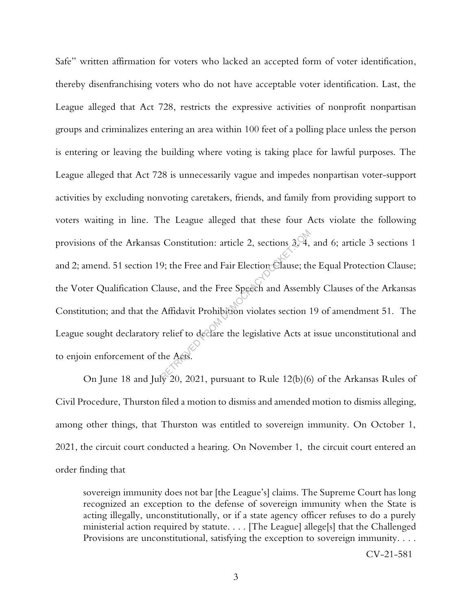Safe" written affirmation for voters who lacked an accepted form of voter identification, thereby disenfranchising voters who do not have acceptable voter identification. Last, the League alleged that Act 728, restricts the expressive activities of nonprofit nonpartisan groups and criminalizes entering an area within 100 feet of a polling place unless the person is entering or leaving the building where voting is taking place for lawful purposes. The League alleged that Act 728 is unnecessarily vague and impedes nonpartisan voter-support activities by excluding nonvoting caretakers, friends, and family from providing support to voters waiting in line. The League alleged that these four Acts violate the following provisions of the Arkansas Constitution: article 2, sections 3, 4, and 6; article 3 sections 1 and 2; amend. 51 section 19; the Free and Fair Election Clause; the Equal Protection Clause; the Voter Qualification Clause, and the Free Speech and Assembly Clauses of the Arkansas Constitution; and that the Affidavit Prohibition violates section 19 of amendment 51. The League sought declaratory relief to declare the legislative Acts at issue unconstitutional and to enjoin enforcement of the Acts. Constitution: article 2, sections  $3\sqrt{4}$ ,<br>9; the Free and Fair Election Clause; th<br>ause, and the Free Speech and Assemb<br>Affidavit Prohibition violates section ?<br>relief to declare the legislative Acts at<br>the Acts.

On June 18 and July 20, 2021, pursuant to Rule 12(b)(6) of the Arkansas Rules of Civil Procedure, Thurston filed a motion to dismiss and amended motion to dismiss alleging, among other things, that Thurston was entitled to sovereign immunity. On October 1, 2021, the circuit court conducted a hearing. On November 1, the circuit court entered an order finding that

sovereign immunity does not bar [the League's] claims. The Supreme Court has long recognized an exception to the defense of sovereign immunity when the State is acting illegally, unconstitutionally, or if a state agency officer refuses to do a purely ministerial action required by statute. . . . [The League] allege[s] that the Challenged Provisions are unconstitutional, satisfying the exception to sovereign immunity. . . .

CV-21-581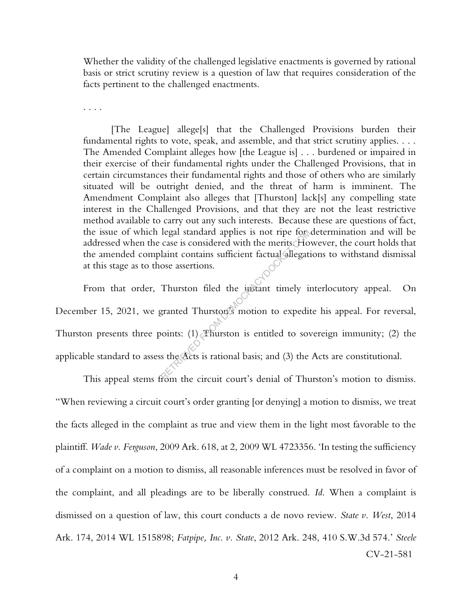Whether the validity of the challenged legislative enactments is governed by rational basis or strict scrutiny review is a question of law that requires consideration of the facts pertinent to the challenged enactments.

. . . .

[The League] allege[s] that the Challenged Provisions burden their fundamental rights to vote, speak, and assemble, and that strict scrutiny applies. . . . The Amended Complaint alleges how [the League is] . . . burdened or impaired in their exercise of their fundamental rights under the Challenged Provisions, that in certain circumstances their fundamental rights and those of others who are similarly situated will be outright denied, and the threat of harm is imminent. The Amendment Complaint also alleges that [Thurston] lack[s] any compelling state interest in the Challenged Provisions, and that they are not the least restrictive method available to carry out any such interests. Because these are questions of fact, the issue of which legal standard applies is not ripe for determination and will be addressed when the case is considered with the merits. However, the court holds that the amended complaint contains sufficient factual allegations to withstand dismissal at this stage as to those assertions.

From that order, Thurston filed the instant timely interlocutory appeal. On December 15, 2021, we granted Thurston's motion to expedite his appeal. For reversal, Thurston presents three points: (1) Thurston is entitled to sovereign immunity; (2) the applicable standard to assess the Acts is rational basis; and (3) the Acts are constitutional. Iegal standard applies is not ripe to<br>
case is considered with the merits.<br>
Ho laint contains sufficient factual allegation<br>
ose assertions.<br>
Thurston filed the instant timely in<br>
granted Thurston's motion to expedit<br>
yoin

CV-21-581 This appeal stems from the circuit court's denial of Thurston's motion to dismiss. "When reviewing a circuit court's order granting [or denying] a motion to dismiss, we treat the facts alleged in the complaint as true and view them in the light most favorable to the plaintiff. *Wade v. Ferguson*, 2009 Ark. 618, at 2, 2009 WL 4723356. 'In testing the sufficiency of a complaint on a motion to dismiss, all reasonable inferences must be resolved in favor of the complaint, and all pleadings are to be liberally construed. *Id*. When a complaint is dismissed on a question of law, this court conducts a de novo review. *State v. West*, 2014 Ark. 174, 2014 WL 1515898; *Fatpipe, Inc. v. State*, 2012 Ark. 248, 410 S.W.3d 574.' *Steele*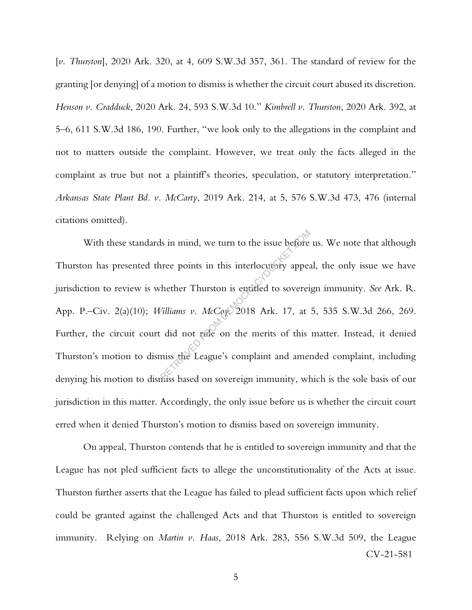[*v. Thurston*], 2020 Ark. 320, at 4, 609 S.W.3d 357, 361. The standard of review for the granting [or denying] of a motion to dismiss is whether the circuit court abused its discretion. *Henson v. Cradduck*, 2020 Ark. 24, 593 S.W.3d 10." *Kimbrell v. Thurston*, 2020 Ark. 392, at 5–6, 611 S.W.3d 186, 190. Further, "we look only to the allegations in the complaint and not to matters outside the complaint. However, we treat only the facts alleged in the complaint as true but not a plaintiff's theories, speculation, or statutory interpretation." *Arkansas State Plant Bd. v. McCarty*, 2019 Ark. 214, at 5, 576 S.W.3d 473, 476 (internal citations omitted).

With these standards in mind, we turn to the issue before us. We note that although Thurston has presented three points in this interlocutory appeal, the only issue we have jurisdiction to review is whether Thurston is entitled to sovereign immunity. *See* Ark. R. App. P.–Civ. 2(a)(10); *Williams v. McCoy*, 2018 Ark. 17, at 5, 535 S.W.3d 266, 269. Further, the circuit court did not rule on the merits of this matter. Instead, it denied Thurston's motion to dismiss the League's complaint and amended complaint, including denying his motion to dismiss based on sovereign immunity, which is the sole basis of our jurisdiction in this matter. Accordingly, the only issue before us is whether the circuit court erred when it denied Thurston's motion to dismiss based on sovereign immunity. Is in mind, we turn to the issue before<br>
Irec points in this interlocutory appear<br>
the Thurston is entitled to sovereix<br>
Villiams v. McCoxx 2018 Ark. 17, at<br>
did not raile on the merits of this<br>
miss the League's complaint

CV-21-581 On appeal, Thurston contends that he is entitled to sovereign immunity and that the League has not pled sufficient facts to allege the unconstitutionality of the Acts at issue. Thurston further asserts that the League has failed to plead sufficient facts upon which relief could be granted against the challenged Acts and that Thurston is entitled to sovereign immunity. Relying on *Martin v. Haas*, 2018 Ark. 283, 556 S.W.3d 509, the League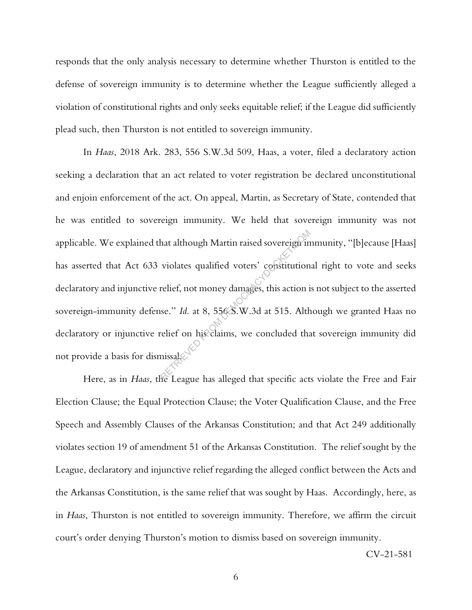responds that the only analysis necessary to determine whether Thurston is entitled to the defense of sovereign immunity is to determine whether the League sufficiently alleged a violation of constitutional rights and only seeks equitable relief; if the League did sufficiently plead such, then Thurston is not entitled to sovereign immunity.

In *Haas*, 2018 Ark. 283, 556 S.W.3d 509, Haas, a voter, filed a declaratory action seeking a declaration that an act related to voter registration be declared unconstitutional and enjoin enforcement of the act. On appeal, Martin, as Secretary of State, contended that he was entitled to sovereign immunity. We held that sovereign immunity was not applicable. We explained that although Martin raised sovereign immunity, "[b]ecause [Haas] has asserted that Act 633 violates qualified voters' constitutional right to vote and seeks declaratory and injunctive relief, not money damages, this action is not subject to the asserted sovereign-immunity defense." *Id*. at 8, 556 S.W.3d at 515. Although we granted Haas no declaratory or injunctive relief on his claims, we concluded that sovereign immunity did not provide a basis for dismissal. hat although Martin raised sovereign in<br>violates qualified voters' constitution<br>relief, not money damages, this action is<br>see." Id. at 8, 5568. W.3d at 515. Alth<br>relief on his claims, we concluded that<br>missals

Here, as in *Haas*, the League has alleged that specific acts violate the Free and Fair Election Clause; the Equal Protection Clause; the Voter Qualification Clause, and the Free Speech and Assembly Clauses of the Arkansas Constitution; and that Act 249 additionally violates section 19 of amendment 51 of the Arkansas Constitution. The relief sought by the League, declaratory and injunctive relief regarding the alleged conflict between the Acts and the Arkansas Constitution, is the same relief that was sought by Haas. Accordingly, here, as in *Haas*, Thurston is not entitled to sovereign immunity. Therefore, we affirm the circuit court's order denying Thurston's motion to dismiss based on sovereign immunity.

CV-21-581